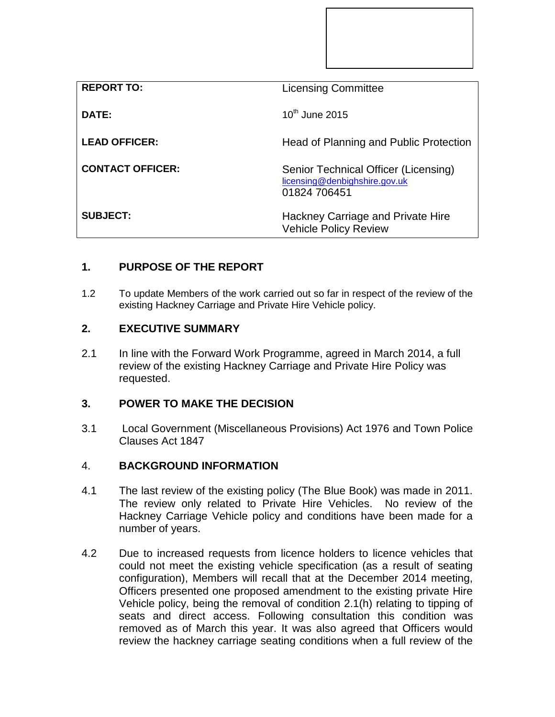| <b>REPORT TO:</b>       | <b>Licensing Committee</b>                                                            |
|-------------------------|---------------------------------------------------------------------------------------|
| DATE:                   | $10^{th}$ June 2015                                                                   |
| <b>LEAD OFFICER:</b>    | Head of Planning and Public Protection                                                |
| <b>CONTACT OFFICER:</b> | Senior Technical Officer (Licensing)<br>licensing@denbighshire.gov.uk<br>01824 706451 |
| <b>SUBJECT:</b>         | Hackney Carriage and Private Hire<br><b>Vehicle Policy Review</b>                     |

# **1. PURPOSE OF THE REPORT**

1.2 To update Members of the work carried out so far in respect of the review of the existing Hackney Carriage and Private Hire Vehicle policy.

## **2. EXECUTIVE SUMMARY**

2.1 In line with the Forward Work Programme, agreed in March 2014, a full review of the existing Hackney Carriage and Private Hire Policy was requested.

## **3. POWER TO MAKE THE DECISION**

3.1 Local Government (Miscellaneous Provisions) Act 1976 and Town Police Clauses Act 1847

### 4. **BACKGROUND INFORMATION**

- 4.1 The last review of the existing policy (The Blue Book) was made in 2011. The review only related to Private Hire Vehicles. No review of the Hackney Carriage Vehicle policy and conditions have been made for a number of years.
- 4.2 Due to increased requests from licence holders to licence vehicles that could not meet the existing vehicle specification (as a result of seating configuration), Members will recall that at the December 2014 meeting, Officers presented one proposed amendment to the existing private Hire Vehicle policy, being the removal of condition 2.1(h) relating to tipping of seats and direct access. Following consultation this condition was removed as of March this year. It was also agreed that Officers would review the hackney carriage seating conditions when a full review of the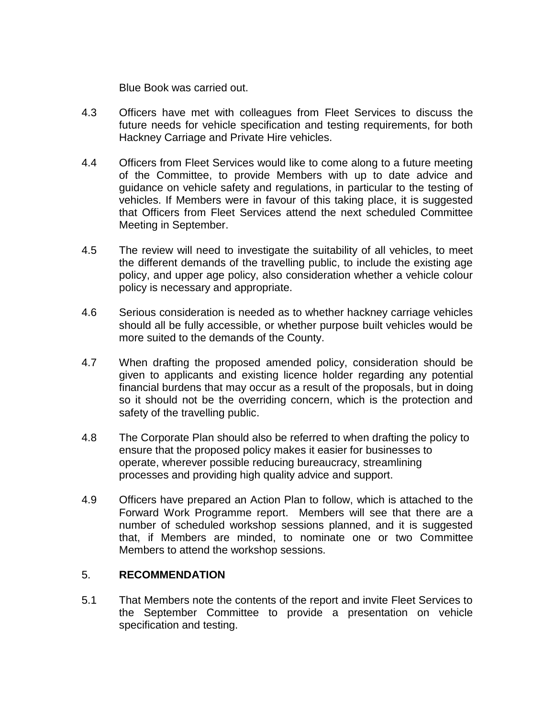Blue Book was carried out.

- 4.3 Officers have met with colleagues from Fleet Services to discuss the future needs for vehicle specification and testing requirements, for both Hackney Carriage and Private Hire vehicles.
- 4.4 Officers from Fleet Services would like to come along to a future meeting of the Committee, to provide Members with up to date advice and guidance on vehicle safety and regulations, in particular to the testing of vehicles. If Members were in favour of this taking place, it is suggested that Officers from Fleet Services attend the next scheduled Committee Meeting in September.
- 4.5 The review will need to investigate the suitability of all vehicles, to meet the different demands of the travelling public, to include the existing age policy, and upper age policy, also consideration whether a vehicle colour policy is necessary and appropriate.
- 4.6 Serious consideration is needed as to whether hackney carriage vehicles should all be fully accessible, or whether purpose built vehicles would be more suited to the demands of the County.
- 4.7 When drafting the proposed amended policy, consideration should be given to applicants and existing licence holder regarding any potential financial burdens that may occur as a result of the proposals, but in doing so it should not be the overriding concern, which is the protection and safety of the travelling public.
- 4.8 The Corporate Plan should also be referred to when drafting the policy to ensure that the proposed policy makes it easier for businesses to operate, wherever possible reducing bureaucracy, streamlining processes and providing high quality advice and support.
- 4.9 Officers have prepared an Action Plan to follow, which is attached to the Forward Work Programme report. Members will see that there are a number of scheduled workshop sessions planned, and it is suggested that, if Members are minded, to nominate one or two Committee Members to attend the workshop sessions.

### 5. **RECOMMENDATION**

5.1 That Members note the contents of the report and invite Fleet Services to the September Committee to provide a presentation on vehicle specification and testing.